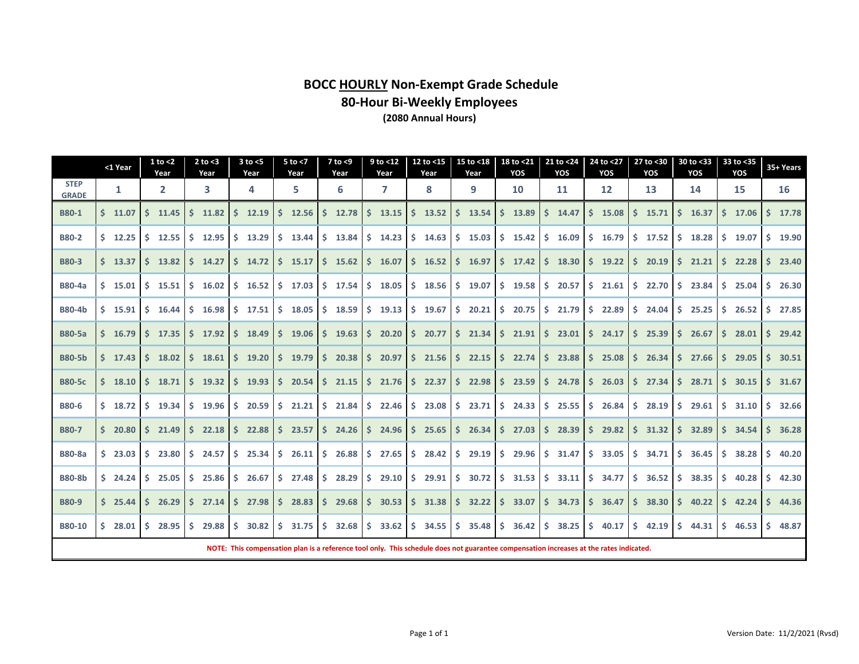# **BOCC HOURLY Non-Exempt Grade Schedule 80-Hour Bi-Weekly Employees (2080 Annual Hours)**

|                             | <1 Year                                                                                                                                                                                                                                                                                                                                                                                     |  | $1$ to $<$ 2<br>Year |    | $2$ to $<$ 3<br>Year |    | $3$ to $<$ 5<br>Year                                                                                                                   |    | $5$ to $<$ 7<br>Year                    |    | $7$ to $<$ 9<br>Year |    | $9$ to $<$ 12<br>Year |    | 12 to $<$ 15<br>Year |    | 15 to <18<br>Year |    | 18 to <21<br>YOS     |            | 21 to <24<br>YOS |     | 24 to <27<br>YOS |    | 27 to <30<br>YOS |    | 30 to <33<br>YOS |     | 33 to <35<br>YOS |    | 35+ Years |
|-----------------------------|---------------------------------------------------------------------------------------------------------------------------------------------------------------------------------------------------------------------------------------------------------------------------------------------------------------------------------------------------------------------------------------------|--|----------------------|----|----------------------|----|----------------------------------------------------------------------------------------------------------------------------------------|----|-----------------------------------------|----|----------------------|----|-----------------------|----|----------------------|----|-------------------|----|----------------------|------------|------------------|-----|------------------|----|------------------|----|------------------|-----|------------------|----|-----------|
| <b>STEP</b><br><b>GRADE</b> | 1                                                                                                                                                                                                                                                                                                                                                                                           |  | $\mathbf{2}$         |    | 3                    |    | 4                                                                                                                                      |    | 5                                       |    | 6                    |    | 7                     |    | 8                    |    | 9                 |    | 10                   |            | 11               |     | 12               |    | 13               |    | 14               |     | 15               |    | 16        |
| <b>B80-1</b>                | $5$ 11.07                                                                                                                                                                                                                                                                                                                                                                                   |  | Ś.<br>11.45          |    | $5$ 11.82            | Ŝ. | 12.19                                                                                                                                  | Ŝ. | 12.56                                   | S. | 12.78                | Ŝ. | 13.15                 |    | \$13.52              |    | \$13.54           |    | \$13.89              | \$         | 14.47            | Ś.  | 15.08            | Ś. | 15.71            | S. | 16.37            |     | \$17.06          | Ŝ. | 17.78     |
| <b>B80-2</b>                | $5$ 12.25                                                                                                                                                                                                                                                                                                                                                                                   |  | $5$ 12.55            |    | $5$ 12.95            | S. | 13.29                                                                                                                                  |    | $5$ 13.44                               |    | $5$ 13.84            |    | $5 \t14.23$           |    | \$14.63              | S. | 15.03             |    | \$15.42              | S.         | 16.09            |     | $5$ 16.79        |    | $5$ 17.52        | S. | 18.28            | S.  | 19.07            | Ŝ. | 19.90     |
| <b>B80-3</b>                | \$13.37                                                                                                                                                                                                                                                                                                                                                                                     |  | Ŝ.<br>13.82          |    | $5$ 14.27            | S. | 14.72                                                                                                                                  |    | $5$ 15.17                               |    | \$15.62              |    | \$16.07               |    | \$16.52              |    | \$16.97           |    | $$17.42 \, \text{S}$ |            | 18.30            |     | $5$ 19.22        |    | \$20.19          | S. | 21.21            |     | $5$ 22.28        | Ŝ. | 23.40     |
| <b>B80-4a</b>               | $5$ 15.01                                                                                                                                                                                                                                                                                                                                                                                   |  | \$15.51              |    | $5 \quad 16.02$      |    | $5 \t16.52$                                                                                                                            |    | $5$ 17.03                               |    | $5$ 17.54            | S. | 18.05                 |    | \$18.56              | S. | 19.07             |    | \$19.58              | S.         | 20.57            |     | \$21.61          |    | 522.70           | S. | 23.84            | S.  | 25.04            | Ŝ. | 26.30     |
| <b>B80-4b</b>               | $5$ 15.91                                                                                                                                                                                                                                                                                                                                                                                   |  | $5 \quad 16.44$      |    | \$16.98              | S. | 17.51                                                                                                                                  |    | \$18.05                                 |    | \$18.59              |    | $5$ 19.13             |    | \$19.67              | S. | 20.21             |    | \$20.75              | S.         | 21.79            | \$. | 22.89            |    | \$24.04          | S. | 25.25            | S.  | 26.52            | Ŝ. | 27.85     |
| <b>B80-5a</b>               | $5 \quad 16.79$                                                                                                                                                                                                                                                                                                                                                                             |  | $5$ 17.35            |    | $5$ 17.92            | 15 | 18.49                                                                                                                                  |    | \$19.06                                 |    | \$19.63              |    | \$20.20               |    | \$20.77              |    | $5$ 21.34         |    | $5$ 21.91            | S.         | 23.01            |     | \$24.17          |    | $5$ 25.39        | S. | 26.67            |     | $5$ 28.01        | Ŝ. | 29.42     |
| <b>B80-5b</b>               | $5 \t17.43$                                                                                                                                                                                                                                                                                                                                                                                 |  | $5 \quad 18.02$      |    | $5 \quad 18.61$      | S. | 19.20                                                                                                                                  |    | $5$ 19.79                               |    | \$20.38              |    | 520.97                |    | 521.56               |    | $5$ 22.15         |    | \$22.74              | $\vert$ \$ | 23.88            |     | \$25.08          |    | \$26.34          | S. | 27.66            | S.  | 29.05            | Ŝ. | 30.51     |
| <b>B80-5c</b>               | $5 \quad 18.10$                                                                                                                                                                                                                                                                                                                                                                             |  | $5$ 18.71            |    | $5$ 19.32            | S. | 19.93                                                                                                                                  |    | $5\quad 20.54$                          |    | \$21.15              |    | 521.76                |    | 522.37               |    | $5$ 22.98         |    | $5\quad 23.59$       | S.         | 24.78            | S.  | 26.03            |    | $5$ 27.34        | S. | 28.71            | S.  | 30.15            | S. | 31.67     |
| <b>B80-6</b>                |                                                                                                                                                                                                                                                                                                                                                                                             |  |                      |    |                      | S. | 20.59                                                                                                                                  |    |                                         |    |                      |    |                       |    |                      |    |                   |    |                      | S.         |                  |     |                  |    |                  | S. | 29.61            |     | 31.10            | Ŝ. | 32.66     |
| <b>B80-7</b>                | $5 \t18.72$<br>\$19.34<br>$5\quad 21.21$<br>\$21.84<br>\$22.46<br>$5\quad 23.08$<br>$5$ 23.71<br>\$24.33<br>25.55<br>\$28.19<br>\$19.96<br>\$26.84<br>S.<br>\$27.03<br>29.82<br>\$.<br>36.28<br>\$20.80<br>Ŝ.<br>21.49<br>$5$ 22.18<br>22.88<br>S.<br>23.57<br>\$24.26<br>$5\quad 24.96$<br>\$25.65<br>\$26.34<br>S.<br>28.39<br>\$.<br>$5 \quad 31.32$<br>S.<br>32.89<br>\$<br>34.54<br>-S |  |                      |    |                      |    |                                                                                                                                        |    |                                         |    |                      |    |                       |    |                      |    |                   |    |                      |            |                  |     |                  |    |                  |    |                  |     |                  |    |           |
| <b>B80-8a</b>               | $5$ 23.03                                                                                                                                                                                                                                                                                                                                                                                   |  | $5\quad 23.80$       |    | 524.57               |    | \$25.34                                                                                                                                |    | $\frac{1}{2}$ 26.11 $\frac{1}{2}$ 26.88 |    |                      |    | \$27.65               |    | $5\quad 28.42$       |    | $5\quad 29.19$    |    | \$29.96              | S.         | 31.47            |     | \$33.05          |    | 5, 34.71         | S. | 36.45            | S.  | 38.28            | Ŝ. | 40.20     |
| <b>B80-8b</b>               | 524.24                                                                                                                                                                                                                                                                                                                                                                                      |  | S.<br>25.05          | S. | 25.86                | S. | 26.67                                                                                                                                  | S. | 27.48                                   | S. | 28.29                | S. | 29.10                 |    | $5$ 29.91            | S. | 30.72             | S. | 31.53                | S.         | 33.11            | \$. | 34.77            |    | \$36.52          | S. | 38.35            | \$. | 40.28            | Ŝ. | 42.30     |
| <b>B80-9</b>                | \$25.44                                                                                                                                                                                                                                                                                                                                                                                     |  | $5$ 26.29            |    | $5$ 27.14            |    | $5$ 27.98                                                                                                                              |    | $5\quad 28.83$                          |    | \$29.68              |    | \$30.53               |    | $5\quad 31.38$       |    | $5 \quad 32.22$   |    | \$33.07              | S.         | 34.73            |     | \$36.47          |    | \$38.30          | S. | 40.22            |     | $5$ 42.24        | Ŝ. | 44.36     |
| B80-10                      | \$.<br>28.01                                                                                                                                                                                                                                                                                                                                                                                |  | 28.95<br>-S          | S. | 29.88                | -S | 30.82                                                                                                                                  | S. | 31.75                                   | S. | 32.68                | S. | 33.62                 | S. | 34.55                | S. | 35.48             | -S | 36.42                | S.         | 38.25            |     | \$40.17          | Ś. | 42.19            | -S | 44.31            | S.  | 46.53            | Ŝ. | 48.87     |
|                             |                                                                                                                                                                                                                                                                                                                                                                                             |  |                      |    |                      |    | NOTE: This compensation plan is a reference tool only. This schedule does not guarantee compensation increases at the rates indicated. |    |                                         |    |                      |    |                       |    |                      |    |                   |    |                      |            |                  |     |                  |    |                  |    |                  |     |                  |    |           |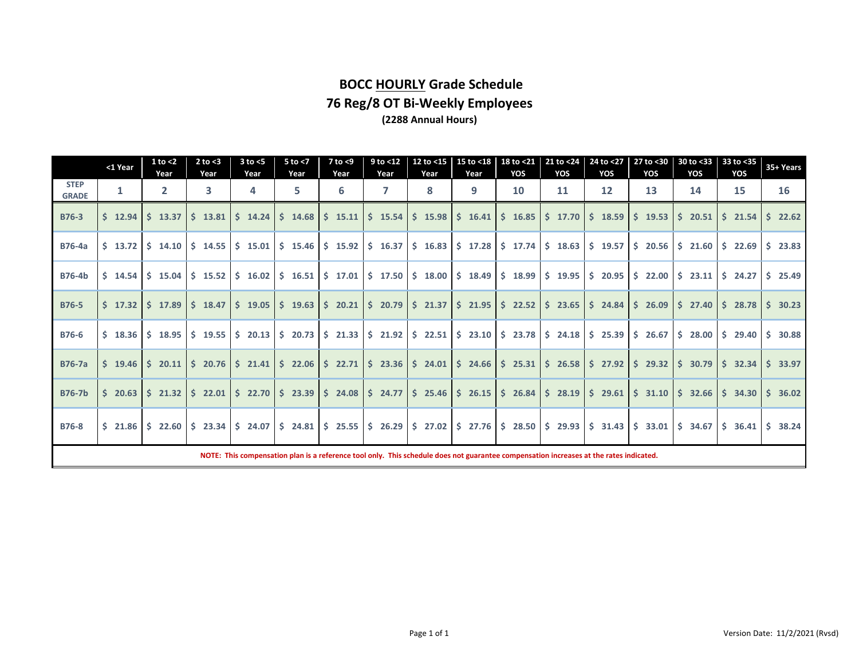# **BOCC HOURLY Grade Schedule 76 Reg/8 OT Bi-Weekly Employees (2288 Annual Hours)**

|                             | <1 Year     | $1$ to $<$ 2<br>Year         | $2$ to $<$ 3<br>Year | $3$ to $<$ 5<br>Year  | $5$ to $<$ 7<br>Year | $7$ to $<$ 9<br>Year | $9$ to <12<br>Year                                                                                                      | 12 to <15<br>Year | 15 to <18<br>Year                       | YOS | 18 to <21 21 to <24<br>YOS                                                                                                                                                                              | 24 to $<$ 27<br>YOS   | 27 to <30<br>YOS | 30 to <33<br>YOS                                                                                                                             | 33 to <35<br>YOS               | 35+ Years      |
|-----------------------------|-------------|------------------------------|----------------------|-----------------------|----------------------|----------------------|-------------------------------------------------------------------------------------------------------------------------|-------------------|-----------------------------------------|-----|---------------------------------------------------------------------------------------------------------------------------------------------------------------------------------------------------------|-----------------------|------------------|----------------------------------------------------------------------------------------------------------------------------------------------|--------------------------------|----------------|
| <b>STEP</b><br><b>GRADE</b> | 1           | $\overline{2}$               | 3                    | 4                     | 5.                   | 6                    | 7                                                                                                                       | 8                 | 9                                       | 10  | 11                                                                                                                                                                                                      | $12 \overline{ }$     | 13               | 14                                                                                                                                           | 15                             | 16             |
| <b>B76-3</b>                | $5 \t12.94$ | $5$ 13.37                    | $5$ 13.81            |                       |                      |                      | $\frac{1}{2}$ 14.24 $\frac{1}{2}$ 14.68 $\frac{1}{2}$ 15.11 $\frac{1}{2}$ 15.54 $\frac{1}{2}$ 15.98                     |                   | $\frac{1}{2}$ \$ 16.41 \ \$ 16.85 \     |     |                                                                                                                                                                                                         | $$17.70 \mid $18.59$  | $5$ 19.53        | $5\quad 20.51$                                                                                                                               | 521.54                         | $5\quad 22.62$ |
| <b>B76-4a</b>               | $5$ 13.72   | \$14.10                      |                      |                       |                      |                      | $\frac{1}{2}$ 14.55 $\frac{1}{2}$ 15.01 $\frac{1}{2}$ 15.46 $\frac{1}{2}$ 15.92 $\frac{1}{2}$ 16.37 $\frac{1}{2}$ 16.83 |                   | $\frac{1}{2}$ \$ 17.28 \$ 17.74         |     |                                                                                                                                                                                                         | $$18.63 \mid $19.57$$ |                  | $$20.56 \mid $21.60 \mid $22.69$                                                                                                             |                                | $5\quad 23.83$ |
| <b>B76-4b</b>               | $5 \t14.54$ | $5 \t15.04$                  |                      |                       |                      |                      | $\frac{1}{2}$ 15.52 $\frac{1}{2}$ 16.02 $\frac{1}{2}$ 16.51 $\frac{1}{2}$ 17.01 $\frac{1}{2}$ 17.50 $\frac{1}{2}$ 18.00 |                   | $\frac{1}{2}$ 18.49 $\frac{1}{2}$ 18.99 |     |                                                                                                                                                                                                         | $$19.95 \& 20.95$     | \$22.00          |                                                                                                                                              | $\frac{1}{2}$ 23.11   \$ 24.27 | $5\quad 25.49$ |
| <b>B76-5</b>                |             | $$17.32 \mid $17.89$         | \$18.47              |                       |                      |                      | $\frac{1}{2}$ \$ 19.05 $\frac{1}{2}$ 19.63 $\frac{1}{2}$ 20.21 $\frac{1}{2}$ 20.79 $\frac{1}{2}$ 21.37                  |                   | $\frac{1}{2}$ \$ 21.95 \$ 22.52         |     |                                                                                                                                                                                                         |                       |                  | $\frac{1}{2}$ 23.65 $\frac{1}{2}$ 24.84 $\frac{1}{2}$ 26.09 $\frac{1}{2}$ 27.40 $\frac{1}{2}$ 28.78                                          |                                | \$30.23        |
| <b>B76-6</b>                |             | $$18.36 \mid $18.95$         |                      |                       |                      |                      |                                                                                                                         |                   |                                         |     | $\frac{1}{2}$ 19.55 $\frac{1}{2}$ 20.13 $\frac{1}{2}$ 20.73 $\frac{1}{2}$ 21.33 $\frac{1}{2}$ 21.92 $\frac{1}{2}$ 22.51 $\frac{1}{2}$ 23.10 $\frac{1}{2}$ 23.78 $\frac{1}{2}$ 24.18 $\frac{1}{2}$ 25.39 |                       | \$26.67          |                                                                                                                                              | $\frac{1}{2}$ 28.00 \$ 29.40   | \$30.88        |
| <b>B76-7a</b>               |             | $\frac{1}{2}$ 19.46 \$ 20.11 |                      |                       |                      |                      |                                                                                                                         |                   |                                         |     |                                                                                                                                                                                                         |                       |                  | \$ 20.76 \ \$ 21.41 \ \$ 22.06 \ \$ 22.71 \ \$ 23.36 \ \$ 24.01 \ \$ 24.66 \ \$ 25.31 \ \$ 26.58 \ \$ 27.92 \ \$ 29.32 \ \$ 30.79 \ \$ 32.34 |                                | 33.97<br>Ś.    |
| <b>B76-7b</b>               |             | $$20.63$ $$21.32$            | \$22.01              |                       |                      |                      |                                                                                                                         |                   |                                         |     | $\frac{1}{2}$ \$ 22.70 $\frac{1}{2}$ 23.39 $\frac{1}{2}$ 24.08 $\frac{1}{2}$ 24.77 $\frac{1}{2}$ 25.46 $\frac{1}{2}$ 26.15 $\frac{1}{2}$ 26.84 $\frac{1}{2}$ 28.19 $\frac{1}{2}$ 29.61                  |                       |                  | $\frac{1}{2}$ 31.10 $\frac{1}{2}$ 32.66 $\frac{1}{2}$ 34.30                                                                                  |                                | 36.02<br>S.    |
| <b>B76-8</b>                |             | $$21.86 \mid $22.60$$        |                      | $$23.34 \  \  $24.07$ |                      |                      |                                                                                                                         |                   |                                         |     | $ \;$ \$ 24.81 $ \;$ \$ 25.55 $ \;$ \$ 26.29 $ \;$ \$ 27.02 $ \;$ \$ 27.76 $ \;$ \$ 28.50 $ \;$ \$ 29.93 $ \;$ \$ 31.43                                                                                 |                       | \$33.01          | $\frac{1}{2}$ \$ 34.67 \ \$ 36.41                                                                                                            |                                | 5, 38.24       |
|                             |             |                              |                      |                       |                      |                      |                                                                                                                         |                   |                                         |     | NOTE: This compensation plan is a reference tool only. This schedule does not guarantee compensation increases at the rates indicated.                                                                  |                       |                  |                                                                                                                                              |                                |                |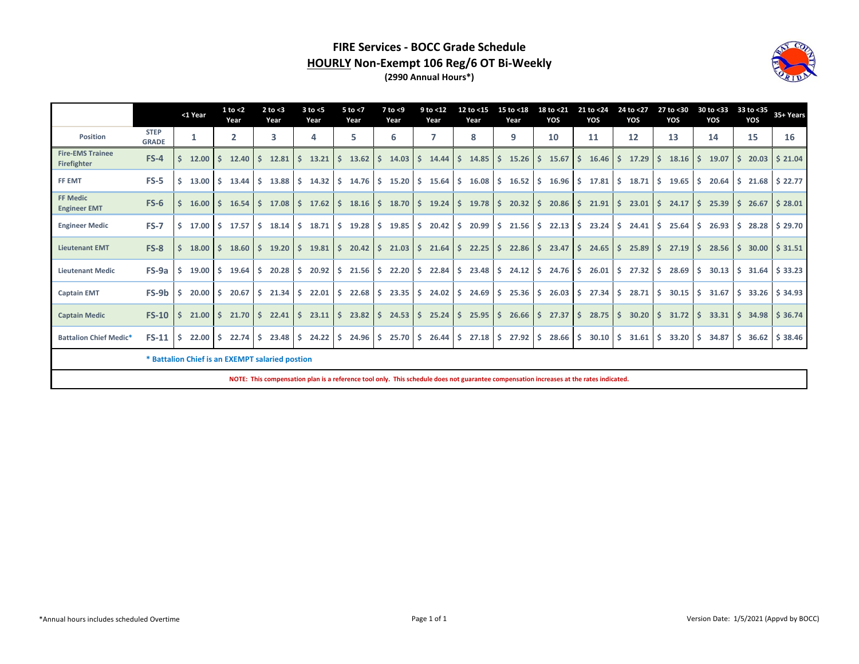### **FIRE Services - BOCC Grade Schedule HOURLY Non-Exempt 106 Reg/6 OT Bi-Weekly (2990 Annual Hours\*)**



|                                        |                             | <1 Year                                         |    | $1$ to $<$ 2<br>Year |     | $2$ to $<$ 3<br>Year | $3$ to $<$ 5<br>Year      | $5$ to $<$ 7<br>Year | $7$ to $<$ 9<br>Year                                                      | 9 to <12<br>Year    |                    | 12 to <15<br>Year  |    | 15 to <18<br>Year                      | 18 to <21<br>YOS |               | 21 to <24<br>YOS       |               | 24 to <27<br>YOS   |            | 27 to <30<br>YOS |    | 30 to <33<br>YOS |    | 33 to <35<br>YOS | 35+ Years                                 |
|----------------------------------------|-----------------------------|-------------------------------------------------|----|----------------------|-----|----------------------|---------------------------|----------------------|---------------------------------------------------------------------------|---------------------|--------------------|--------------------|----|----------------------------------------|------------------|---------------|------------------------|---------------|--------------------|------------|------------------|----|------------------|----|------------------|-------------------------------------------|
| Position                               | <b>STEP</b><br><b>GRADE</b> | 1                                               |    | $\overline{2}$       |     | 3                    | 4                         | 5                    | 6                                                                         |                     |                    | 8                  |    | 9                                      | 10               |               | 11                     |               | 12                 |            | 13               |    | 14               |    | 15               | 16                                        |
| <b>Fire-EMS Trainee</b><br>Firefighter | $FS-4$                      | 12.00                                           | S. | 12.40                | S.  | 12.81                | 13.21                     | 13.62<br>Ŝ.          | 14.03<br>Ś.                                                               | 14.44               | S.                 | 14.85              | S. | 15.26                                  | 15.67            |               | 16.46                  |               | 17.29              |            | 18.16            | S. | 19.07            | S. | 20.03            | \$21.04                                   |
| FF EMT                                 | $FS-5$                      | 13.00                                           | S. | 13.44                | S.  | 13.88                | S.<br>$14.32 \,$ \$       | $14.76 \pm 5$        | $15.20$ \$                                                                | $15.64 \,$ \$       |                    |                    |    | $16.08$ \$ $16.52$ \$ $16.96$ \$ 17.81 |                  |               |                        | IS.           | 18.71              | <b>S</b>   | 19.65            | S. | 20.64            |    |                  | $$21.68 \& 22.77$                         |
| <b>FF Medic</b><br><b>Engineer EMT</b> | $FS-6$                      | 16.00                                           | S. | 16.54                | S.  | 17.08                |                           |                      | $\frac{1}{2}$ 17.62 $\frac{1}{2}$ 18.16 $\frac{1}{2}$ 18.70 $\frac{1}{2}$ | 19.24               | S.                 | $19.78$ \$         |    | $20.32 \mid \zeta$                     | 20.86            | IS.           | 21.91                  | IS.           | 23.01              | $\vert$ \$ | 24.17            |    | $S$ 25.39        |    | 526.67           | \$28.01                                   |
| <b>Engineer Medic</b>                  | <b>FS-7</b>                 | 17.00<br>S.                                     |    | $5$ 17.57            | S.  | 18.14                | 18.71<br>S.               | $19.28$ \$<br>S.     | $19.85$ \$                                                                | $20.42 \,$ \$       |                    | $20.99$ \$         |    | $21.56$ \$                             | $22.13$ \$       |               | 23.24                  | I\$.          | $24.41 \div 25.64$ |            |                  |    | \$26.93          |    | \$28.28          | \$29.70                                   |
| <b>Lieutenant EMT</b>                  | $FS-8$                      | 18.00                                           | S. | 18.60                | S.  | 19.20                | Ŝ.<br>$19.81 \, \text{S}$ | $20.42 \,$ \$        | $21.03$ \$                                                                | 21.64               | $\dot{\mathsf{s}}$ | $22.25$ \$         |    | $22.86 \, \text{S}$                    | 23.47            |               | $\frac{1}{2}$ \$ 24.65 | $\vert$ \$    | 25.89              | l Ś        | 27.19            | S. | 28.56            |    | \$30.00          | \$31.51                                   |
| <b>Lieutenant Medic</b>                | FS-9a                       | 19.00<br>-S                                     | S. | 19.64                | -Ś. | 20.28                | $20.92 \, \text{S}$<br>Ŝ. | $21.56$ \$           | $22.20$ \$                                                                | $22.84 \, \text{S}$ |                    | $23.48$ \$         |    | $24.12 \quad$ \$                       | $24.76$ \$       |               | 26.01                  | $\frac{1}{2}$ | $27.32 \quad$ \$   |            | 28.69            | S. | 30.13            |    |                  | $\frac{1}{2}$ 31.64 \ $\frac{1}{2}$ 33.23 |
| <b>Captain EMT</b>                     | FS-9b                       | 20.00                                           | -S | 20.67                | -Ś. | 21.34                | $22.01$ \$<br>Ŝ.          | $22.68$ \$           | $23.35$ \$                                                                | $24.02 \quad$ \$    |                    | 24.69 <sub>5</sub> |    | $25.36 \, \text{S}$                    | 26.03            | I Ś           | 27.34                  | l S           | 28.71              | S.         | 30.15            |    | \$31.67          |    | \$33.26          | \$34.93                                   |
| <b>Captain Medic</b>                   | $FS-10$                     | 21.00<br>S.                                     | S. | 21.70S               |     | 22.41                | $23.11 \, \text{S}$<br>S. |                      | $23.82 \mid \xi$ 24.53 $\mid \xi$                                         | 25.24               | S.                 | $25.95$ \$         |    | $26.66$ \$ 27.37                       |                  | $\frac{1}{5}$ | $28.75$ \$             |               | 30.20              | I Ś        | 31.72            | S. | 33.31            |    |                  | \$36.74                                   |
| <b>Battalion Chief Medic*</b>          | $FS-11$                     | 22.00<br>-S                                     | S. | 22.74                | -Ś. | 23.48                | $24.22 \quad$ \$<br>S.    | $24.96 \pm 5$        | 25.70%                                                                    | $26.44 \div$        |                    | $27.18$ \$         |    | $27.92 \,$ \$                          | $28.66$ \$       |               | 30.10%                 |               | 31.61              | -S         | 33.20            | S. | 34.87            |    |                  | $$36.62 \mid $38.46$                      |
|                                        |                             | * Battalion Chief is an EXEMPT salaried postion |    |                      |     |                      |                           |                      |                                                                           |                     |                    |                    |    |                                        |                  |               |                        |               |                    |            |                  |    |                  |    |                  |                                           |

**NOTE: This compensation plan is a reference tool only. This schedule does not guarantee compensation increases at the rates indicated.**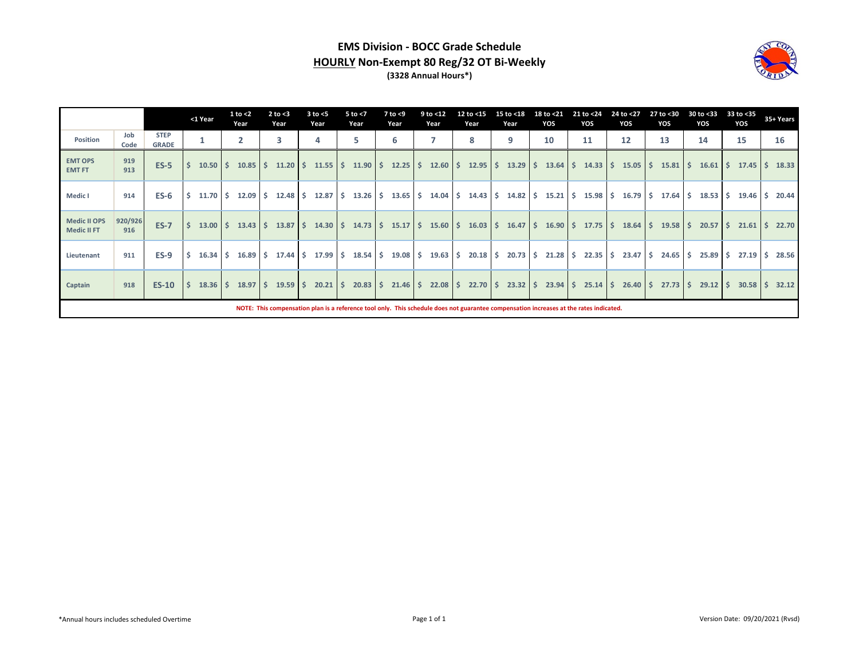### **EMS Division - BOCC Grade Schedule HOURLY Non-Exempt 80 Reg/32 OT Bi-Weekly (3328 Annual Hours\*)**



|                                           |                |                             | <1 Year          | 1 to $<$ 2<br>Year | $2$ to $<$ 3<br>Year                                                      | $3$ to $<$ 5<br>Year  | 5 to $<$ 7<br>Year  | $7$ to $<$ 9<br>Year  | 9 to <12<br>Year | 12 to <15<br>Year | 15 to <18<br>Year                                                                                                                      | 18 to <21<br>YOS | 21 to <24<br>YOS | 24 to <27<br>YOS                                                                            | 27 to <30<br>YOS | 30 to <33<br>YOS           | 33 to $<$ 35<br>YOS | 35+ Years |
|-------------------------------------------|----------------|-----------------------------|------------------|--------------------|---------------------------------------------------------------------------|-----------------------|---------------------|-----------------------|------------------|-------------------|----------------------------------------------------------------------------------------------------------------------------------------|------------------|------------------|---------------------------------------------------------------------------------------------|------------------|----------------------------|---------------------|-----------|
| Position                                  | Job<br>Code    | <b>STEP</b><br><b>GRADE</b> | 1                | 2                  | 3                                                                         | 4                     | 5                   | 6                     |                  | 8                 | 9                                                                                                                                      | 10               | 11               | 12                                                                                          | 13               | 14                         | 15                  | 16        |
| <b>EMT OPS</b><br><b>EMT FT</b>           | 919<br>913     | $ES-5$                      | $10.50$ \$       |                    | $10.85$ \$ 11.20 \$                                                       | $11.55$ $\frac{1}{5}$ | $11.90 \pm 5$       | $12.25$ $\frac{1}{5}$ | 12.60S           | 12.95             | $\mathsf{S}$                                                                                                                           |                  |                  | $13.29$ $\binom{2}{3}$ $13.64$ $\binom{2}{3}$ $14.33$ $\binom{2}{3}$ $15.05$ $\binom{2}{3}$ | 15.81            | S.<br>$16.61 \, \text{S}$  | 17.45               | 18.33     |
| Medic I                                   | 914            | $ES-6$                      |                  |                    | $\frac{1}{2}$ 11.70 \$ 12.09 \$ 12.48 \$                                  |                       |                     |                       |                  |                   | $13.65$   \$ $14.04$   \$ $14.43$   \$ $14.82$   \$ $15.21$   \$ $15.98$   \$ $16.79$   \$                                             |                  |                  |                                                                                             | 17.64            | S.<br>$18.53$ \$           | $19.46 \,$ \$       | 20.44     |
| <b>Medic II OPS</b><br><b>Medic II FT</b> | 920/926<br>916 | <b>ES-7</b>                 |                  |                    | $13.00$ \$ $13.43$ \$ $13.87$ \$ $14.30$ \$ $14.73$ \$                    |                       |                     |                       |                  |                   | $15.17 \mid \xi$ 15.60 $\mid \xi$ 16.03 $\mid \xi$ 16.47 $\mid \xi$ 16.90 $\mid \xi$ 17.75 $\mid \xi$ 18.64 $\mid \xi$ 19.58           |                  |                  |                                                                                             |                  | Ŝ.<br>$20.57$ \$           | $21.61$ \$          | 22.70     |
| Lieutenant                                | 911            | $ES-9$                      | $16.34 \quad$ \$ |                    | $16.89$ \$ 17.44 \$                                                       |                       |                     |                       |                  |                   | $19.08$   \$ $19.63$   \$ $20.18$   \$ $20.73$   \$ $21.28$   \$ $22.35$   \$ $23.47$   \$                                             |                  |                  |                                                                                             | 24.65            | S.<br>$25.89$ \$           | $27.19$ \$          | 28.56     |
| Captain                                   | 918            | <b>ES-10</b>                |                  |                    | $\frac{1}{2}$ 18.36 $\frac{1}{2}$ 18.97 $\frac{1}{2}$ 19.59 $\frac{1}{2}$ | $20.21$ \$            | $20.83 \, \text{S}$ | $21.46 \,$ \$         |                  |                   | $22.08$   \$ 22.70   \$ 23.32   \$ 23.94   \$ 25.14   \$ 26.40   \$ 27.73                                                              |                  |                  |                                                                                             |                  | $\mathsf{S}$<br>$29.12$ \$ | $30.58$ \$          | 32.12     |
|                                           |                |                             |                  |                    |                                                                           |                       |                     |                       |                  |                   | NOTE: This compensation plan is a reference tool only. This schedule does not guarantee compensation increases at the rates indicated. |                  |                  |                                                                                             |                  |                            |                     |           |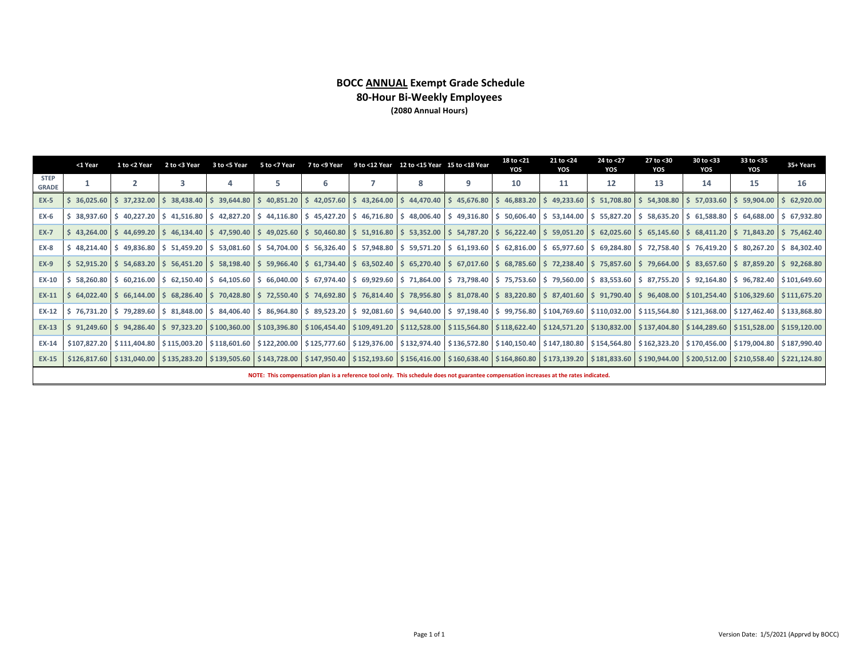### **BOCC ANNUAL Exempt Grade Schedule 80-Hour Bi-Weekly Employees (2080 Annual Hours)**

|                             | <1 Year                                                                                                                                                                                                                               | 1 to <2 Year | 2 to <3 Year     | 3 to <5 Year | 5 to <7 Year                | 7 to <9 Year |  | 9 to <12 Year 12 to <15 Year 15 to <18 Year                 |   | 18 to <21<br>YOS | 21 to <24<br>YOS                                                                                                                       | 24 to <27<br>YOS | 27 to <30<br>YOS | 30 to <33<br>YOS | 33 to <35<br>YOS                                                                                                                                                                                                                                   | 35+ Years |
|-----------------------------|---------------------------------------------------------------------------------------------------------------------------------------------------------------------------------------------------------------------------------------|--------------|------------------|--------------|-----------------------------|--------------|--|-------------------------------------------------------------|---|------------------|----------------------------------------------------------------------------------------------------------------------------------------|------------------|------------------|------------------|----------------------------------------------------------------------------------------------------------------------------------------------------------------------------------------------------------------------------------------------------|-----------|
| <b>STEP</b><br><b>GRADE</b> |                                                                                                                                                                                                                                       |              | 3                |              | 5                           | հ            |  | 8                                                           | 9 | 10               | 11                                                                                                                                     | 12               | 13               | 14               | 15                                                                                                                                                                                                                                                 | 16        |
| <b>EX-5</b>                 | $36.025.60$ S                                                                                                                                                                                                                         | 37.232.00    | $$38.438.40$ $$$ |              | $39,644.80$ \$ 40,851.20 \$ |              |  | $42,057.60$ \$ $43,264.00$ \$ $44,470.40$ \$ $45,676.80$ \$ |   |                  | 46,883.20 \$ 49,233.60 \$ 51,708.80 \$ 54,308.80                                                                                       |                  |                  |                  | $$57,033.60$ $$59,904.00$ $$62,920.00$                                                                                                                                                                                                             |           |
| <b>EX-6</b>                 |                                                                                                                                                                                                                                       |              |                  |              |                             |              |  |                                                             |   |                  |                                                                                                                                        |                  |                  |                  | 38,937.60 \$ 40,227.20 \$ 41,516.80 \$ 42,827.20 \$ 44,116.80 \$ 45,427.20 \$ 46,716.80 \$ 48,006.40 \$ 49,316.80 \$ 50,606.40 \$ 53,144.00 \$ 55,827.20 \$ 58,635.20 \$ 61,588.80 \$ 64,688.00 \$ 67,932.80                                       |           |
| <b>EX-7</b>                 |                                                                                                                                                                                                                                       |              |                  |              |                             |              |  |                                                             |   |                  |                                                                                                                                        |                  |                  |                  | \$ 43,264.00 \$ 44,699.20 \$ 46,134.40 \$ 47,590.40 \$ 49,025.60 \$ 50,460.80 \$ 51,916.80 \$ 53,352.00 \$ 54,787.20 \$ 56,222.40 \$ 59,051.20 \$ 62,025.60 \$ 65,145.60 \$ 68,411.20 \$ 71,843.20 \$ 75,462.40                                    |           |
| <b>EX-8</b>                 | $$48.214.40$ $$$                                                                                                                                                                                                                      | 49,836.80    |                  |              |                             |              |  |                                                             |   |                  |                                                                                                                                        |                  |                  |                  | \$51,459.20 \$53,081.60 \$54,704.00 \$56,326.40 \$57,948.80 \$59,571.20 \$61,193.60 \$62,816.00 \$65,977.60 \$69,284.80 \$72,758.40 \$76,419.20 \$80,267.20 \$84,302.40                                                                            |           |
| <b>EX-9</b>                 |                                                                                                                                                                                                                                       |              |                  |              |                             |              |  |                                                             |   |                  |                                                                                                                                        |                  |                  |                  | \$52,915.20 \$54,683.20 \$56,451.20 \$58,198.40 \$59,966.40 \$61,734.40 \$63,502.40 \$65,270.40 \$67,017.60 \$68,785.60 \$72,238.40 \$75,857.60 \$79,664.00 \$83,657.60 \$787,859.20 \$92,268.80                                                   |           |
| <b>EX-10</b>                | 58.260.80 \$                                                                                                                                                                                                                          | 60.216.00    |                  |              |                             |              |  |                                                             |   |                  |                                                                                                                                        |                  |                  |                  | \$62,150.40 \$64,105.60 \$66,040.00 \$67,974.40 \$69,929.60 \$71,864.00 \$73,798.40 \$75,753.60 \$90,560.00 \$83,553.60 \$77,55.20 \$92,164.80 \$96,782.40 \$101,649.60                                                                            |           |
| <b>EX-11</b>                |                                                                                                                                                                                                                                       |              |                  |              |                             |              |  |                                                             |   |                  |                                                                                                                                        |                  |                  |                  | \$64,022.40 \$66,144.00 \$68,286.40 \$70,428.80 \$72,550.40 \$74,692.80 \$76,814.40 \$78,956.80 \$81,078.40 \$83,220.80 \$87,401.60 \$91,790.40 \$96,408.00 \$101,254.40 \$106,329.60 \$111,675.20                                                 |           |
| EX-12                       | 79,289.60   \$ 115,564.80   \$ 121,368.00   \$ 127,462.40   \$ 133,868.80   \$ 99,081.60   \$ 97,098.40   \$ 171,98.40   \$ 104,769.60   \$110,032.00   \$115,564.80   \$121,368.00   \$127,462.40   \$ 133,868.80<br>$$76,731.20$ \$ |              |                  |              |                             |              |  |                                                             |   |                  |                                                                                                                                        |                  |                  |                  |                                                                                                                                                                                                                                                    |           |
| <b>EX-13</b>                |                                                                                                                                                                                                                                       |              |                  |              |                             |              |  |                                                             |   |                  |                                                                                                                                        |                  |                  |                  | \$97,285.00 \$97,285.40 \$97,323.20 \$100,360.00 \$103,396.80 \$106,454.40 \$109,491.20 \$112,528.00 \$115,564.80 \$131,622.40 \$124,571.20 \$130,832.00 \$3137,404.80 \$144,289.60 \$151,528.00 \$1537,200, \$151,528.00 \$151,528.00 \$159,120.0 |           |
| EX-14                       |                                                                                                                                                                                                                                       |              |                  |              |                             |              |  |                                                             |   |                  |                                                                                                                                        |                  |                  |                  | \$117,004.80 \$115,003.20 \$118,601.60 \$122,200.00 \$125,777.60 \$129,376.00 \$132,974.40 \$136,572.80 \$140,150.40 \$147,180.80 \$154,564.80 \$162,323.20 \$170,456.00 \$179,004.80 \$187,990.40                                                 |           |
| EX-15                       |                                                                                                                                                                                                                                       |              |                  |              |                             |              |  |                                                             |   |                  |                                                                                                                                        |                  |                  |                  | \$126,817.60 \$131,040.00 \$135,283.20 \$139,505.60 \$143,728.00 \$147,950.40 \$152,193.60 \$156,416.00 \$160,638.40 \$164,860.80 \$173,139.20 \$181,833.60 \$190,944.00 \$200,512.00 \$200,512.00 \$210,558.40 \$221,124.80                       |           |
|                             |                                                                                                                                                                                                                                       |              |                  |              |                             |              |  |                                                             |   |                  | NOTE: This compensation plan is a reference tool only. This schedule does not guarantee compensation increases at the rates indicated. |                  |                  |                  |                                                                                                                                                                                                                                                    |           |